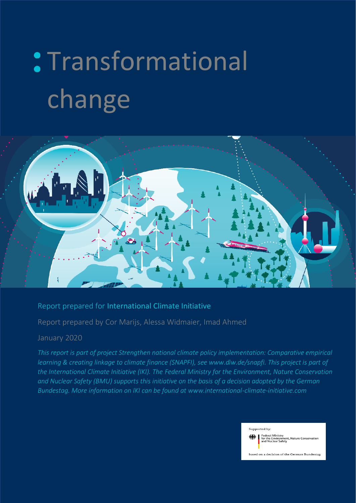# : Transformational change



### Report prepared for International Climate Initiative

Report prepared by Cor Marijs, Alessa Widmaier, Imad Ahmed

#### January 2020

*This report is part of project Strengthen national climate policy implementation: Comparative empirical learning & creating linkage to climate finance (SNAPFI), see www.diw.de/snapfi. This project is part of the International Climate Initiative (IKI). The Federal Ministry for the Environment, Nature Conservation and Nuclear Safety (BMU) supports this initiative on the basis of a decision adopted by the German Bundestag. More information on IKI can be found at www.international-climate-initiative.com*

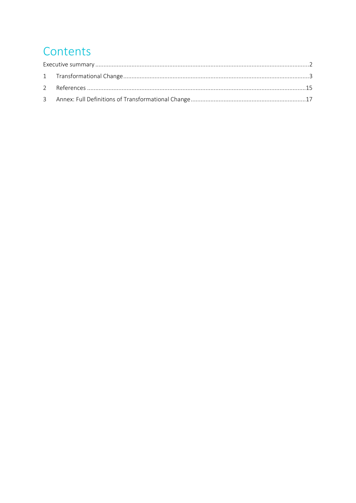# Contents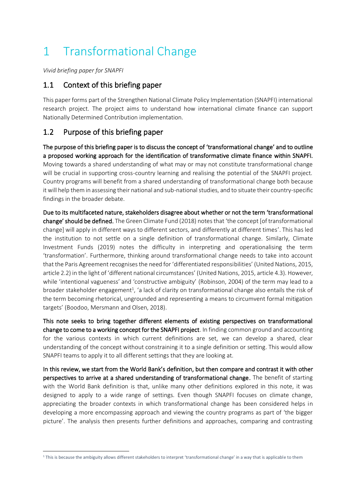# <span id="page-2-0"></span>1 Transformational Change

*Vivid briefing paper for SNAPFI*

## 1.1 Context of this briefing paper

This paper forms part of the Strengthen National Climate Policy Implementation (SNAPFI) international research project. The project aims to understand how international climate finance can support Nationally Determined Contribution implementation.

# 1.2 Purpose of this briefing paper

The purpose of this briefing paper is to discuss the concept of 'transformational change' and to outline a proposed working approach for the identification of transformative climate finance within SNAPFI. Moving towards a shared understanding of what may or may not constitute transformational change will be crucial in supporting cross-country learning and realising the potential of the SNAPFI project. Country programs will benefit from a shared understanding of transformational change both because it will help them in assessing their national and sub-national studies, and to situate their country-specific findings in the broader debate.

Due to its multifaceted nature, stakeholders disagree about whether or not the term 'transformational change' should be defined. The Green Climate Fund (2018) notes that 'the concept [of transformational change] will apply in different ways to different sectors, and differently at different times'. This has led the institution to not settle on a single definition of transformational change. Similarly, Climate Investment Funds (2019) notes the difficulty in interpreting and operationalising the term 'transformation'. Furthermore, thinking around transformational change needs to take into account that the Paris Agreement recognises the need for 'differentiated responsibilities' (United Nations, 2015, article 2.2) in the light of 'different national circumstances' (United Nations, 2015, article 4.3). However, while 'intentional vagueness' and 'constructive ambiguity' (Robinson, 2004) of the term may lead to a broader stakeholder engagement<sup>1</sup>, 'a lack of clarity on transformational change also entails the risk of the term becoming rhetorical, ungrounded and representing a means to circumvent formal mitigation targets' (Boodoo, Mersmann and Olsen, 2018).

This note seeks to bring together different elements of existing perspectives on transformational change to come to a working concept for the SNAPFI project. In finding common ground and accounting for the various contexts in which current definitions are set, we can develop a shared, clear understanding of the concept without constraining it to a single definition or setting. This would allow SNAPFI teams to apply it to all different settings that they are looking at.

In this review, we start from the World Bank's definition, but then compare and contrast it with other perspectives to arrive at a shared understanding of transformational change. The benefit of starting with the World Bank definition is that, unlike many other definitions explored in this note, it was designed to apply to a wide range of settings. Even though SNAPFI focuses on climate change, appreciating the broader contexts in which transformational change has been considered helps in developing a more encompassing approach and viewing the country programs as part of 'the bigger picture'. The analysis then presents further definitions and approaches, comparing and contrasting

<sup>&</sup>lt;sup>1</sup> This is because the ambiguity allows different stakeholders to interpret 'transformational change' in a way that is applicable to them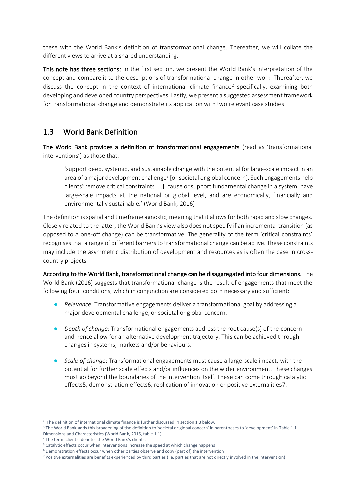these with the World Bank's definition of transformational change. Thereafter, we will collate the different views to arrive at a shared understanding.

This note has three sections: in the first section, we present the World Bank's interpretation of the concept and compare it to the descriptions of transformational change in other work. Thereafter, we discuss the concept in the context of international climate finance<sup>2</sup> specifically, examining both developing and developed country perspectives. Lastly, we present a suggested assessment framework for transformational change and demonstrate its application with two relevant case studies.

# 1.3 World Bank Definition

The World Bank provides a definition of transformational engagements (read as 'transformational interventions') as those that:

'support deep, systemic, and sustainable change with the potential for large-scale impact in an area of a major development challenge<sup>3</sup> [or societal or global concern]. Such engagements help clients<sup>4</sup> remove critical constraints [...], cause or support fundamental change in a system, have large-scale impacts at the national or global level, and are economically, financially and environmentally sustainable.' (World Bank, 2016)

The definition is spatial and timeframe agnostic, meaning that it allows for both rapid and slow changes. Closely related to the latter, the World Bank's view also does not specify if an incremental transition (as opposed to a one-off change) can be transformative. The generality of the term 'critical constraints' recognises that a range of different barriers to transformational change can be active. These constraints may include the asymmetric distribution of development and resources as is often the case in crosscountry projects.

According to the World Bank, transformational change can be disaggregated into four dimensions. The World Bank (2016) suggests that transformational change is the result of engagements that meet the following four conditions, which in conjunction are considered both necessary and sufficient:

- *Relevance*: Transformative engagements deliver a transformational goal by addressing a major developmental challenge, or societal or global concern.
- *Depth of change*: Transformational engagements address the root cause(s) of the concern and hence allow for an alternative development trajectory. This can be achieved through changes in systems, markets and/or behaviours.
- *Scale of change*: Transformational engagements must cause a large-scale impact, with the potential for further scale effects and/or influences on the wider environment. These changes must go beyond the boundaries of the intervention itself. These can come through catalytic effects5, demonstration effects6, replication of innovation or positive externalities7.

<sup>&</sup>lt;sup>2</sup> The definition of international climate finance is further discussed in section 1.3 below.

<sup>&</sup>lt;sup>3</sup> The World Bank adds this broadening of the definition to 'societal or global concern' in parentheses to 'development' in Table 1.1 Dimensions and Characteristics (World Bank, 2016, table 1.1)

<sup>4</sup> The term 'clients' denotes the World Bank's clients.

<sup>&</sup>lt;sup>5</sup> Catalytic effects occur when interventions increase the speed at which change happens

<sup>&</sup>lt;sup>6</sup> Demonstration effects occur when other parties observe and copy (part of) the intervention

<sup>7</sup> Positive externalities are benefits experienced by third parties (i.e. parties that are not directly involved in the intervention)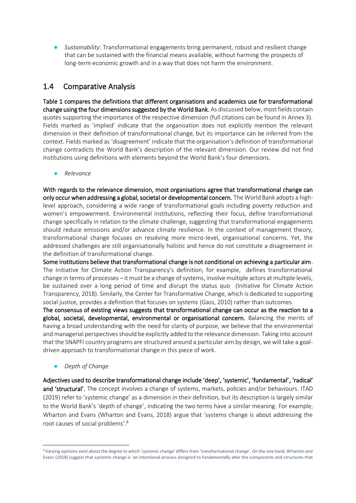Sustainability: Transformational engagements bring permanent, robust and resilient change that can be sustained with the financial means available, without harming the prospects of long-term economic growth and in a way that does not harm the environment.

## 1.4 Comparative Analysis

Table 1 compares the definitions that different organisations and academics use for transformational change using the four dimensions suggested by the World Bank. As discussed below, most fields contain quotes supporting the importance of the respective dimension (full citations can be found in Annex 3). Fields marked as 'implied' indicate that the organisation does not explicitly mention the relevant dimension in their definition of transformational change, but its importance can be inferred from the context. Fields marked as 'disagreement' indicate that the organisation's definition of transformational change contradicts the World Bank's description of the relevant dimension. Our review did not find institutions using definitions with elements beyond the World Bank's four dimensions.

● *Relevance*

With regards to the relevance dimension, most organisations agree that transformational change can only occur when addressing a global, societal or developmental concern. The World Bank adopts a highlevel approach, considering a wide range of transformational goals including poverty reduction and women's empowerment. Environmental institutions, reflecting their focus, define transformational change specifically in relation to the climate challenge, suggesting that transformational engagements should reduce emissions and/or advance climate resilience. In the context of management theory, transformational change focuses on resolving more micro-level, organisational concerns. Yet, the addressed challenges are still organisationally holistic and hence do not constitute a disagreement in the definition of transformational change.

Some institutions believe that transformational change is not conditional on achieving a particular aim. The Initiative for Climate Action Transparency's definition, for example, defines transformational change in terms of processes – it must be a change of systems, involve multiple actors at multiple levels, be sustained over a long period of time and disrupt the status quo (Initiative for Climate Action Transparency, 2018). Similarly, the Center for Transformative Change, which is dedicated to supporting social justice, provides a definition that focuses on systems (Gass, 2010) rather than outcomes.

The consensus of existing views suggests that transformational change can occur as the reaction to a global, societal, developmental, environmental or organisational concern. Balancing the merits of having a broad understanding with the need for clarity of purpose, we believe that the environmental and managerial perspectives should be explicitly added to the relevance dimension. Taking into account that the SNAPFI country programs are structured around a particular aim by design, we will take a goaldriven approach to transformational change in this piece of work.

*Depth of Change* 

Adjectives used to describe transformational change include 'deep', 'systemic', 'fundamental', 'radical' and 'structural'. The concept involves a change of systems, markets, policies and/or behaviours. ITAD (2019) refer to 'systemic change' as a dimension in their definition, but its description is largely similar to the World Bank's 'depth of change', indicating the two terms have a similar meaning. For example, Wharton and Evans (Wharton and Evans, 2018) argue that 'systems change is about addressing the root causes of social problems'.<sup>8</sup>

<sup>8</sup> Varying opinions exist about the degree to which 'systemic change' differs from 'transformational change'. On the one hand, Wharton and Evans (2018) suggest that systemic change is 'an intentional process designed to fundamentally alter the components and structures that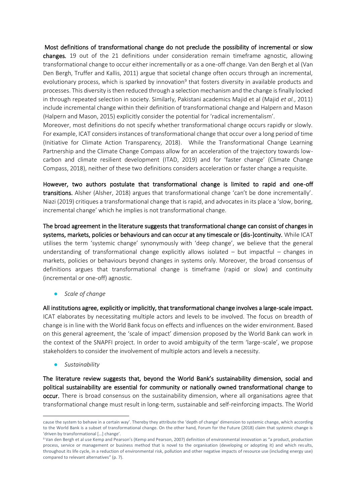Most definitions of transformational change do not preclude the possibility of incremental or slow changes. 19 out of the 21 definitions under consideration remain timeframe agnostic, allowing transformational change to occur either incrementally or as a one-off change. Van den Bergh et al (Van Den Bergh, Truffer and Kallis, 2011) argue that societal change often occurs through an incremental, evolutionary process, which is sparked by innovation<sup>9</sup> that fosters diversity in available products and processes. This diversity is then reduced through a selection mechanism and the change is finally locked in through repeated selection in society. Similarly, Pakistani academics Majid et al (Majid *et al.*, 2011) include incremental change within their definition of transformational change and Halpern and Mason (Halpern and Mason, 2015) explicitly consider the potential for 'radical incrementalism'.

Moreover, most definitions do not specify whether transformational change occurs rapidly or slowly. For example, ICAT considers instances of transformational change that occur over a long period of time (Initiative for Climate Action Transparency, 2018). While the Transformational Change Learning Partnership and the Climate Change Compass allow for an acceleration of the trajectory towards lowcarbon and climate resilient development (ITAD, 2019) and for 'faster change' (Climate Change Compass, 2018), neither of these two definitions considers acceleration or faster change a requisite.

However, two authors postulate that transformational change is limited to rapid and one-off transitions. Alsher (Alsher, 2018) argues that transformational change 'can't be done incrementally'. Niazi (2019) critiques a transformational change that is rapid, and advocates in its place a 'slow, boring, incremental change' which he implies is not transformational change.

The broad agreement in the literature suggests that transformational change can consist of changes in systems, markets, policies or behaviours and can occur at any timescale or (dis-)continuity. While ICAT utilises the term 'systemic change' synonymously with 'deep change', we believe that the general understanding of transformational change explicitly allows isolated – but impactful – changes in markets, policies or behaviours beyond changes in systems only. Moreover, the broad consensus of definitions argues that transformational change is timeframe (rapid or slow) and continuity (incremental or one-off) agnostic.

● *Scale of change* 

All institutions agree, explicitly or implicitly, that transformational change involves a large-scale impact. ICAT elaborates by necessitating multiple actors and levels to be involved. The focus on breadth of change is in line with the World Bank focus on effects and influences on the wider environment. Based on this general agreement, the 'scale of impact' dimension proposed by the World Bank can work in the context of the SNAPFI project. In order to avoid ambiguity of the term 'large-scale', we propose stakeholders to consider the involvement of multiple actors and levels a necessity.

● *Sustainability* 

The literature review suggests that, beyond the World Bank's sustainability dimension, social and political sustainability are essential for community or nationally owned transformational change to occur. There is broad consensus on the sustainability dimension, where all organisations agree that transformational change must result in long-term, sustainable and self-reinforcing impacts. The World

cause the system to behave in a certain way'. Thereby they attribute the 'depth of change' dimension to systemic change, which according to the World Bank is a subset of transformational change. On the other hand, Forum for the Future (2018) claim that systemic change is 'driven by transformational […] change'.

<sup>9</sup> Van den Bergh et al use Kemp and Pearson's (Kemp and Pearson, 2007) definition of environmental innovation as "a product, production process, service or management or business method that is novel to the organisation (developing or adopting it) and which results, throughout its life cycle, in a reduction of environmental risk, pollution and other negative impacts of resource use (including energy use) compared to relevant alternatives" (p. 7).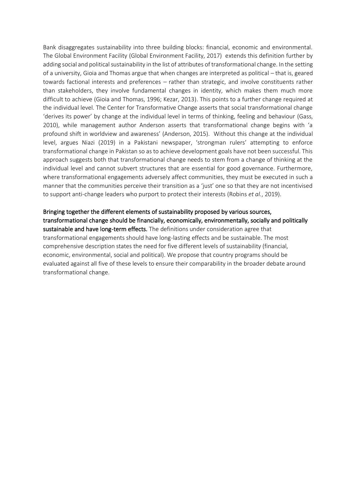Bank disaggregates sustainability into three building blocks: financial, economic and environmental. The Global Environment Facility (Global Environment Facility, 2017) extends this definition further by adding social and political sustainability in the list of attributes of transformational change. In the setting of a university, Gioia and Thomas argue that when changes are interpreted as political – that is, geared towards factional interests and preferences – rather than strategic, and involve constituents rather than stakeholders, they involve fundamental changes in identity, which makes them much more difficult to achieve (Gioia and Thomas, 1996; Kezar, 2013). This points to a further change required at the individual level. The Center for Transformative Change asserts that social transformational change 'derives its power' by change at the individual level in terms of thinking, feeling and behaviour (Gass, 2010), while management author Anderson asserts that transformational change begins with 'a profound shift in worldview and awareness' (Anderson, 2015). Without this change at the individual level, argues Niazi (2019) in a Pakistani newspaper, 'strongman rulers' attempting to enforce transformational change in Pakistan so as to achieve development goals have not been successful. This approach suggests both that transformational change needs to stem from a change of thinking at the individual level and cannot subvert structures that are essential for good governance. Furthermore, where transformational engagements adversely affect communities, they must be executed in such a manner that the communities perceive their transition as a 'just' one so that they are not incentivised to support anti-change leaders who purport to protect their interests (Robins *et al.*, 2019).

Bringing together the different elements of sustainability proposed by various sources, transformational change should be financially, economically, environmentally, socially and politically sustainable and have long-term effects. The definitions under consideration agree that transformational engagements should have long-lasting effects and be sustainable. The most comprehensive description states the need for five different levels of sustainability (financial, economic, environmental, social and political). We propose that country programs should be evaluated against all five of these levels to ensure their comparability in the broader debate around transformational change.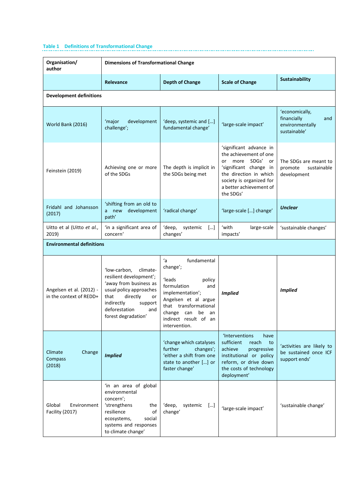# **Table 1 Definitions of Transformational Change**

| Organisation/<br>author                                                                                                                                                             | <b>Dimensions of Transformational Change</b>                                                                                                                                                               |                                                                                                                                                                                                                     |                                                                                                                                                                    |                                                                         |  |
|-------------------------------------------------------------------------------------------------------------------------------------------------------------------------------------|------------------------------------------------------------------------------------------------------------------------------------------------------------------------------------------------------------|---------------------------------------------------------------------------------------------------------------------------------------------------------------------------------------------------------------------|--------------------------------------------------------------------------------------------------------------------------------------------------------------------|-------------------------------------------------------------------------|--|
|                                                                                                                                                                                     | <b>Relevance</b>                                                                                                                                                                                           | <b>Depth of Change</b>                                                                                                                                                                                              | <b>Scale of Change</b>                                                                                                                                             | <b>Sustainability</b>                                                   |  |
| <b>Development definitions</b>                                                                                                                                                      |                                                                                                                                                                                                            |                                                                                                                                                                                                                     |                                                                                                                                                                    |                                                                         |  |
| World Bank (2016)                                                                                                                                                                   | 'major<br>development<br>challenge';                                                                                                                                                                       | 'deep, systemic and []<br>'large-scale impact'<br>fundamental change'                                                                                                                                               |                                                                                                                                                                    | 'economically,<br>financially<br>and<br>environmentally<br>sustainable' |  |
| Feinstein (2019)                                                                                                                                                                    | more SDGs'<br>or<br>The depth is implicit in<br>Achieving one or more<br>of the SDGs<br>the SDGs being met<br>the SDGs'                                                                                    |                                                                                                                                                                                                                     | 'significant advance in<br>the achievement of one<br>or<br>'significant change in<br>the direction in which<br>society is organized for<br>a better achievement of | The SDGs are meant to<br>promote<br>sustainable<br>development          |  |
| Fridahl and Johansson<br>(2017)                                                                                                                                                     | 'shifting from an old to<br>development<br>a new<br>path'                                                                                                                                                  | 'radical change'                                                                                                                                                                                                    | 'large-scale [] change'                                                                                                                                            | <b>Unclear</b>                                                          |  |
| 'with<br>'in a significant area of<br>'deep,<br>Uitto et al (Uitto et al.,<br>systemic<br>[]<br>2019)<br>concern'<br>changes'<br>impacts'                                           |                                                                                                                                                                                                            | large-scale                                                                                                                                                                                                         | 'sustainable changes'                                                                                                                                              |                                                                         |  |
| <b>Environmental definitions</b>                                                                                                                                                    |                                                                                                                                                                                                            |                                                                                                                                                                                                                     |                                                                                                                                                                    |                                                                         |  |
| Angelsen et al. (2012) -<br>in the context of REDD+                                                                                                                                 | 'low-carbon,<br>climate-<br>resilient development';<br>'away from business as<br>usual policy approaches<br>that<br>directly<br>or<br>indirectly<br>support<br>deforestation<br>and<br>forest degradation' | ʻa<br>fundamental<br>change';<br>'leads<br>policy<br>formulation<br>and<br>implementation';<br>Angelsen et al argue<br>that transformational<br>change<br>be<br>can<br>an<br>indirect result of an<br>intervention. | <b>Implied</b>                                                                                                                                                     | <b>Implied</b>                                                          |  |
| 'change which catalyses<br>further<br>changes';<br>Climate<br>Change<br>'either a shift from one<br><b>Implied</b><br>Compass<br>state to another [] or<br>(2018)<br>faster change' |                                                                                                                                                                                                            | <b>'Interventions</b><br>have<br>sufficient<br>reach<br>to<br>achieve<br>progressive<br>institutional or policy<br>reform, or drive down<br>the costs of technology<br>deployment'                                  | 'activities are likely to<br>be sustained once ICF<br>support ends'                                                                                                |                                                                         |  |
| Global<br>Environment<br><b>Facility (2017)</b>                                                                                                                                     | 'in an area of global<br>environmental<br>concern';<br>'strengthens<br>the<br>of<br>resilience<br>ecosystems,<br>social<br>systems and responses<br>to climate change'                                     | 'deep,<br>systemic<br>$\left[ \ldots \right]$<br>change'                                                                                                                                                            | 'large-scale impact'                                                                                                                                               | 'sustainable change'                                                    |  |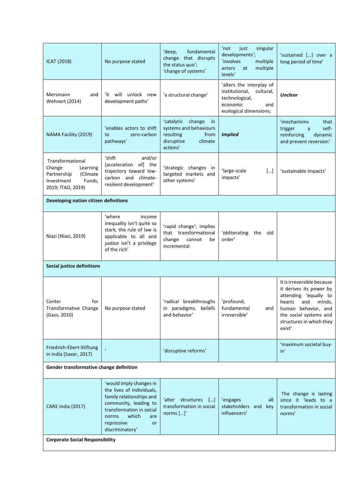| <b>ICAT (2018)</b>                                                                                             | No purpose stated                                                                                                                                                                                                                                                               | fundamental<br>'deep,<br>change that disrupts<br>the status quo';<br>'change of systems'                       | 'not<br>just<br>singular<br>developments';<br>'involves<br>multiple<br>multiple<br>actors<br>at<br>levels'             | 'sustained [] over a<br>long period of time'                                                                                                                                                     |  |  |
|----------------------------------------------------------------------------------------------------------------|---------------------------------------------------------------------------------------------------------------------------------------------------------------------------------------------------------------------------------------------------------------------------------|----------------------------------------------------------------------------------------------------------------|------------------------------------------------------------------------------------------------------------------------|--------------------------------------------------------------------------------------------------------------------------------------------------------------------------------------------------|--|--|
| Mersmann<br>and<br><b>Wehnert (2014)</b>                                                                       | 'it will unlock new<br>development paths'                                                                                                                                                                                                                                       | 'a structural change'                                                                                          | 'alters the interplay of<br>institutional,<br>cultural,<br>technological,<br>economic<br>and<br>ecological dimensions; | <b>Unclear</b>                                                                                                                                                                                   |  |  |
| NAMA Facility (2019)                                                                                           | 'enables actors to shift<br>zero-carbon<br>to<br>pathways'                                                                                                                                                                                                                      | 'catalytic<br>change<br>in<br>systems and behaviours<br>resulting<br>from<br>disruptive<br>climate<br>actions' | <b>Implied</b>                                                                                                         | 'mechanisms<br>that<br>self-<br>trigger<br>a<br>reinforcing<br>dynamic<br>and prevent reversion'                                                                                                 |  |  |
| Transformational<br>Change<br>Learning<br>Partnership<br>(Climate<br>Investment<br>Funds,<br>2019; ITAD, 2019) | ʻshift<br>and/or<br>[acceleration of] the<br>trajectory toward low-<br>carbon and climate-<br>resilient development'                                                                                                                                                            | 'strategic changes in<br>targeted markets and<br>other systems'                                                | 'large-scale<br>$[]$<br>impacts'                                                                                       | 'sustainable impacts'                                                                                                                                                                            |  |  |
| Developing nation citizen definitions                                                                          |                                                                                                                                                                                                                                                                                 |                                                                                                                |                                                                                                                        |                                                                                                                                                                                                  |  |  |
| Niazi (Niazi, 2019)                                                                                            | 'where<br>income<br>inequality isn't quite so<br>'rapid change'; implies<br>stark, the rule of law is<br>that transformational<br>'obliterating<br>the<br>applicable to all and<br>order'<br>change<br>cannot<br>be<br>justice isn't a privilege<br>incremental<br>of the rich' |                                                                                                                | old                                                                                                                    |                                                                                                                                                                                                  |  |  |
| <b>Social justice definitions</b>                                                                              |                                                                                                                                                                                                                                                                                 |                                                                                                                |                                                                                                                        |                                                                                                                                                                                                  |  |  |
| Center<br>for<br>Transformative Change<br>(Gass, 2010)                                                         | No purpose stated                                                                                                                                                                                                                                                               | 'radical breakthroughs<br>paradigms,<br>beliefs<br>in<br>and behavior'                                         | 'profound,<br>fundamental<br>and<br>irreversible'                                                                      | It is irreversible because<br>it derives its power by<br>attending 'equally to<br>hearts<br>and<br>minds,<br>human behavior, and<br>the social systems and<br>structures in which they<br>exist' |  |  |
| Friedrich-Ebert-Stiftung<br>in India (Saxer, 2017)                                                             |                                                                                                                                                                                                                                                                                 | 'disruptive reforms'                                                                                           |                                                                                                                        | 'maximum societal buy-<br>in'                                                                                                                                                                    |  |  |
| Gender transformative change definition                                                                        |                                                                                                                                                                                                                                                                                 |                                                                                                                |                                                                                                                        |                                                                                                                                                                                                  |  |  |
| CARE India (2017)                                                                                              | 'would imply changes in<br>the lives of individuals,<br>family relationships and<br>community, leading to<br>transformation in social<br>which<br>norms<br>are<br>repressive<br>or<br>discriminatory'                                                                           | 'alter<br>structures<br>$\lfloor  \rfloor$<br>transformation in social<br>norms $[]'$                          | 'engages<br>all<br>stakeholders and key<br>influencers'                                                                | The change is lasting<br>since it 'leads to a<br>transformation in social<br>norms'                                                                                                              |  |  |
| <b>Corporate Social Responsibility</b>                                                                         |                                                                                                                                                                                                                                                                                 |                                                                                                                |                                                                                                                        |                                                                                                                                                                                                  |  |  |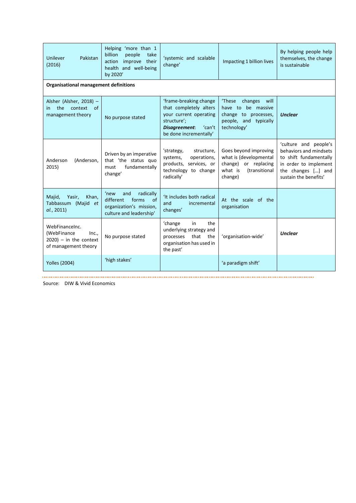| Unilever<br>Pakistan<br>(2016)                                                                                                                            | Helping 'more than 1<br>people<br>billion<br>take<br>improve their<br>action<br>health and well-being<br>by 2020' | 'systemic and scalable<br>change'                                                                                                              | Impacting 1 billion lives                                                                                       | By helping people help<br>themselves, the change<br>is sustainable                                                                                |
|-----------------------------------------------------------------------------------------------------------------------------------------------------------|-------------------------------------------------------------------------------------------------------------------|------------------------------------------------------------------------------------------------------------------------------------------------|-----------------------------------------------------------------------------------------------------------------|---------------------------------------------------------------------------------------------------------------------------------------------------|
| Organisational management definitions                                                                                                                     |                                                                                                                   |                                                                                                                                                |                                                                                                                 |                                                                                                                                                   |
| Alsher (Alsher, 2018) -<br>context of<br>the<br>in.<br>management theory                                                                                  | No purpose stated                                                                                                 | 'frame-breaking change<br>that completely alters<br>your current operating<br>structure';<br>Disagreement:<br>'can't<br>be done incrementally' | 'These<br>changes<br>will<br>have to be massive<br>change to processes,<br>people, and typically<br>technology' | <b>Unclear</b>                                                                                                                                    |
| Anderson<br>(Anderson,<br>2015)                                                                                                                           | Driven by an imperative<br>that 'the status quo<br>fundamentally<br>must<br>change'                               | 'strategy,<br>structure.<br>systems,<br>operations,<br>products, services, or<br>technology to change<br>radically'                            | Goes beyond improving<br>what is (developmental<br>change) or replacing<br>what is<br>(transitional<br>change)  | 'culture and people's<br>behaviors and mindsets<br>to shift fundamentally<br>in order to implement<br>the changes [] and<br>sustain the benefits' |
| Majid,<br>Khan,<br>Yasir,<br>Tabbassum (Majid et<br>al., 2011)                                                                                            | radically<br>'new<br>and<br>different<br>forms<br>of<br>organization's mission,<br>culture and leadership'        | 'It includes both radical<br>and<br>incremental<br>changes'                                                                                    | At the scale of the<br>organisation                                                                             |                                                                                                                                                   |
| 'change<br>in<br>WebFinanceInc.<br>(WebFinance<br>Inc<br>No purpose stated<br>processes<br>$2020$ ) – in the context<br>of management theory<br>the past' |                                                                                                                   | the<br>underlying strategy and<br>that<br>the<br>organisation has used in                                                                      | 'organisation-wide'                                                                                             | <b>Unclear</b>                                                                                                                                    |
| <b>Yolles (2004)</b>                                                                                                                                      | 'high stakes'                                                                                                     |                                                                                                                                                | 'a paradigm shift'                                                                                              |                                                                                                                                                   |

Source: DIW & Vivid Economics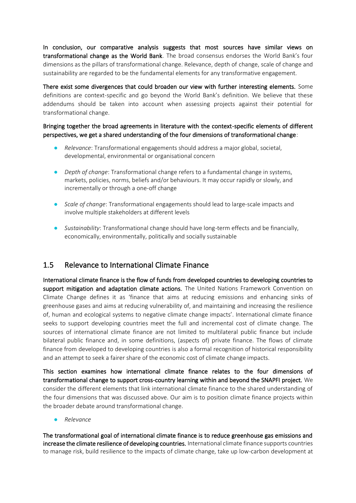In conclusion, our comparative analysis suggests that most sources have similar views on transformational change as the World Bank. The broad consensus endorses the World Bank's four dimensions as the pillars of transformational change. Relevance, depth of change, scale of change and sustainability are regarded to be the fundamental elements for any transformative engagement.

There exist some divergences that could broaden our view with further interesting elements. Some definitions are context-specific and go beyond the World Bank's definition. We believe that these addendums should be taken into account when assessing projects against their potential for transformational change.

#### Bringing together the broad agreements in literature with the context-specific elements of different perspectives, we get a shared understanding of the four dimensions of transformational change:

- *Relevance*: Transformational engagements should address a major global, societal, developmental, environmental or organisational concern
- **•** *Depth of change*: Transformational change refers to a fundamental change in systems, markets, policies, norms, beliefs and/or behaviours. It may occur rapidly or slowly, and incrementally or through a one-off change
- *Scale of change*: Transformational engagements should lead to large-scale impacts and involve multiple stakeholders at different levels
- *Sustainability*: Transformational change should have long-term effects and be financially, economically, environmentally, politically and socially sustainable

## 1.5 Relevance to International Climate Finance

International climate finance is the flow of funds from developed countries to developing countries to support mitigation and adaptation climate actions. The United Nations Framework Convention on Climate Change defines it as 'finance that aims at reducing emissions and enhancing sinks of greenhouse gases and aims at reducing vulnerability of, and maintaining and increasing the resilience of, human and ecological systems to negative climate change impacts'. International climate finance seeks to support developing countries meet the full and incremental cost of climate change. The sources of international climate finance are not limited to multilateral public finance but include bilateral public finance and, in some definitions, (aspects of) private finance. The flows of climate finance from developed to developing countries is also a formal recognition of historical responsibility and an attempt to seek a fairer share of the economic cost of climate change impacts.

This section examines how international climate finance relates to the four dimensions of transformational change to support cross-country learning within and beyond the SNAPFI project. We consider the different elements that link international climate finance to the shared understanding of the four dimensions that was discussed above. Our aim is to position climate finance projects within the broader debate around transformational change.

● *Relevance*

The transformational goal of international climate finance is to reduce greenhouse gas emissions and increase the climate resilience of developing countries. International climate finance supports countries to manage risk, build resilience to the impacts of climate change, take up low-carbon development at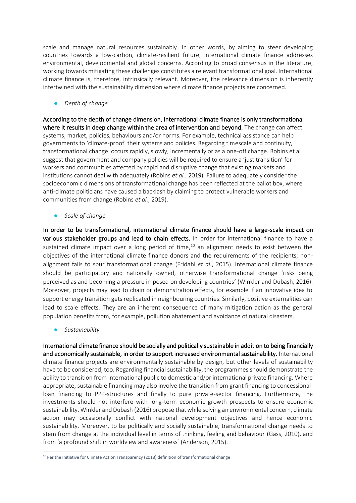scale and manage natural resources sustainably. In other words, by aiming to steer developing countries towards a low-carbon, climate-resilient future, international climate finance addresses environmental, developmental and global concerns. According to broad consensus in the literature, working towards mitigating these challenges constitutes a relevant transformational goal. International climate finance is, therefore, intrinsically relevant. Moreover, the relevance dimension is inherently intertwined with the sustainability dimension where climate finance projects are concerned.

● *Depth of change* 

According to the depth of changedimension, international climate finance is only transformational where it results in deep change within the area of intervention and beyond. The change can affect systems, market, policies, behaviours and/or norms. For example, technical assistance can help governments to 'climate-proof' their systems and policies. Regarding timescale and continuity, transformational change occurs rapidly, slowly, incrementally or as a one-off change. Robins et al suggest that government and company policies will be required to ensure a 'just transition' for workers and communities affected by rapid and disruptive change that existing markets and institutions cannot deal with adequately (Robins *et al.*, 2019). Failure to adequately consider the socioeconomic dimensions of transformational change has been reflected at the ballot box, where anti-climate politicians have caused a backlash by claiming to protect vulnerable workers and communities from change (Robins *et al.*, 2019).

● *Scale of change*

In order to be transformational, international climate finance should have a large-scale impact on various stakeholder groups and lead to chain effects. In order for international finance to have a sustained climate impact over a long period of time,<sup>10</sup> an alignment needs to exist between the objectives of the international climate finance donors and the requirements of the recipients; nonalignment fails to spur transformational change (Fridahl *et al.*, 2015). International climate finance should be participatory and nationally owned, otherwise transformational change 'risks being perceived as and becoming a pressure imposed on developing countries' (Winkler and Dubash, 2016). Moreover, projects may lead to chain or demonstration effects, for example if an innovative idea to support energy transition gets replicated in neighbouring countries. Similarly, positive externalities can lead to scale effects. They are an inherent consequence of many mitigation action as the general population benefits from, for example, pollution abatement and avoidance of natural disasters.

● *Sustainability*

International climate finance should be socially and politically sustainable in addition to being financially and economically sustainable, in order to support increased environmental sustainability. International climate finance projects are environmentally sustainable by design, but other levels of sustainability have to be considered, too. Regarding financial sustainability, the programmes should demonstrate the ability to transition from international public to domestic and/or international private financing. Where appropriate, sustainable financing may also involve the transition from grant financing to concessionalloan financing to PPP-structures and finally to pure private-sector financing. Furthermore, the investments should not interfere with long-term economic growth prospects to ensure economic sustainability. Winkler and Dubash (2016) propose that while solving an environmental concern, climate action may occasionally conflict with national development objectives and hence economic sustainability. Moreover, to be politically and socially sustainable, transformational change needs to stem from change at the individual level in terms of thinking, feeling and behaviour (Gass, 2010), and from 'a profound shift in worldview and awareness' (Anderson, 2015).

<sup>&</sup>lt;sup>10</sup> Per the Initiative for Climate Action Transparency (2018) definition of transformational change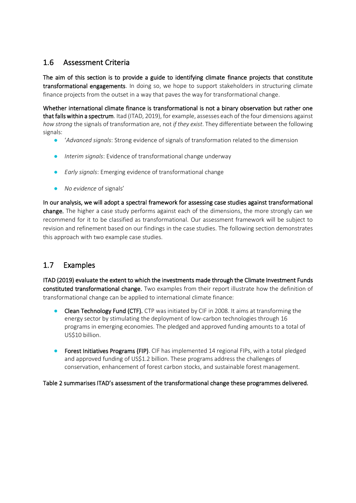# 1.6 Assessment Criteria

The aim of this section is to provide a guide to identifying climate finance projects that constitute transformational engagements. In doing so, we hope to support stakeholders in structuring climate finance projects from the outset in a way that paves the way for transformational change.

Whether international climate finance is transformational is not a binary observation but rather one that falls within a spectrum. Itad (ITAD, 2019), for example, assesses each of the four dimensions against *how strong* the signals of transformation are, not *if they exist*. They differentiate between the following signals:

- '*Advanced signals*: Strong evidence of signals of transformation related to the dimension
- Interim signals: Evidence of transformational change underway
- *Early signals*: Emerging evidence of transformational change
- *No evidence* of signals'

In our analysis, we will adopt a spectral framework for assessing case studies against transformational change. The higher a case study performs against each of the dimensions, the more strongly can we recommend for it to be classified as transformational. Our assessment framework will be subject to revision and refinement based on our findings in the case studies. The following section demonstrates this approach with two example case studies.

# 1.7 Examples

ITAD (2019) evaluate the extent to which the investments made through the Climate Investment Funds constituted transformational change. Two examples from their report illustrate how the definition of transformational change can be applied to international climate finance:

- Clean Technology Fund (CTF). CTP was initiated by CIF in 2008. It aims at transforming the energy sector by stimulating the deployment of low-carbon technologies through 16 programs in emerging economies. The pledged and approved funding amounts to a total of US\$10 billion.
- Forest Initiatives Programs (FIP). CIF has implemented 14 regional FIPs, with a total pledged and approved funding of US\$1.2 billion. These programs address the challenges of conservation, enhancement of forest carbon stocks, and sustainable forest management.

[Table 2](#page-13-0) summarises ITAD's assessment of the transformational change these programmes delivered.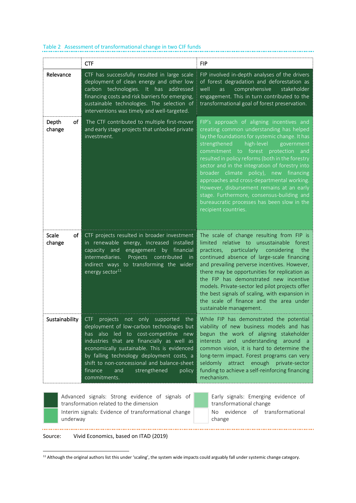|                                                                                                                                                                | <b>CTF</b>                                                                                                                                                                                                                                                                                                                                                                                             | <b>FIP</b>                                                                                                                                                                                                                                                                                                                                                                                                                                                                                                                                                                                                 |  |
|----------------------------------------------------------------------------------------------------------------------------------------------------------------|--------------------------------------------------------------------------------------------------------------------------------------------------------------------------------------------------------------------------------------------------------------------------------------------------------------------------------------------------------------------------------------------------------|------------------------------------------------------------------------------------------------------------------------------------------------------------------------------------------------------------------------------------------------------------------------------------------------------------------------------------------------------------------------------------------------------------------------------------------------------------------------------------------------------------------------------------------------------------------------------------------------------------|--|
| Relevance                                                                                                                                                      | CTF has successfully resulted in large scale<br>deployment of clean energy and other low<br>carbon technologies. It has addressed<br>financing costs and risk barriers for emerging,<br>sustainable technologies. The selection of<br>interventions was timely and well-targeted.                                                                                                                      | FIP involved in-depth analyses of the drivers<br>of forest degradation and deforestation as<br>comprehensive<br>well<br>stakeholder<br>as<br>engagement. This in turn contributed to the<br>transformational goal of forest preservation.                                                                                                                                                                                                                                                                                                                                                                  |  |
| Depth<br>of<br>change                                                                                                                                          | The CTF contributed to multiple first-mover<br>and early stage projects that unlocked private<br>investment.                                                                                                                                                                                                                                                                                           | FIP's approach of aligning incentives and<br>creating common understanding has helped<br>lay the foundations for systemic change. It has<br>strengthened<br>high-level<br>government<br>commitment<br>to forest<br>protection<br>and<br>resulted in policy reforms (both in the forestry<br>sector and in the integration of forestry into<br>broader climate<br>policy), new<br>financing<br>approaches and cross-departmental working.<br>However, disbursement remains at an early<br>stage. Furthermore, consensus-building and<br>bureaucratic processes has been slow in the<br>recipient countries. |  |
| <b>Scale</b><br>of i<br>change                                                                                                                                 | CTF projects resulted in broader investment<br>in renewable energy, increased installed<br>capacity and<br>financial<br>engagement<br>by<br>intermediaries.<br>contributed<br>Projects<br>in<br>indirect ways to transforming the wider<br>energy sector <sup>11</sup>                                                                                                                                 | The scale of change resulting from FIP is<br>limited relative to unsustainable forest<br>practices,<br>particularly<br>considering<br>the<br>continued absence of large-scale financing<br>and prevailing perverse incentives. However,<br>there may be opportunities for replication as<br>the FIP has demonstrated new incentive<br>models. Private-sector led pilot projects offer<br>the best signals of scaling, with expansion in<br>the scale of finance and the area under<br>sustainable management.                                                                                              |  |
| Sustainability                                                                                                                                                 | <b>CTF</b><br>projects<br>only<br>supported<br>the<br>not<br>deployment of low-carbon technologies but<br>has also led to<br>cost-competitive new<br>industries that are financially as well as<br>economically sustainable. This is evidenced<br>by falling technology deployment costs, a<br>shift to non-concessional and balance-sheet<br>finance<br>and<br>strengthened<br>policy<br>commitments. | While FIP has demonstrated the potential<br>viability of new business models and has<br>begun the work of aligning stakeholder<br>interests<br>and<br>understanding<br>around a<br>common vision, it is hard to determine the<br>long-term impact. Forest programs can very<br>attract enough private-sector<br>seldomly<br>funding to achieve a self-reinforcing financing<br>mechanism.                                                                                                                                                                                                                  |  |
| Advanced signals: Strong evidence of signals of<br>transformation related to the dimension<br>Interim signals: Evidence of transformational change<br>underway |                                                                                                                                                                                                                                                                                                                                                                                                        | Early signals: Emerging evidence of<br>transformational change<br>evidence<br>of transformational<br>No<br>change                                                                                                                                                                                                                                                                                                                                                                                                                                                                                          |  |

#### <span id="page-13-0"></span>Table 2 Assessment of transformational change in two CIF funds

Source: Vivid Economics, based on ITAD (2019)

 $11$  Although the original authors list this under 'scaling', the system wide impacts could arguably fall under systemic change category.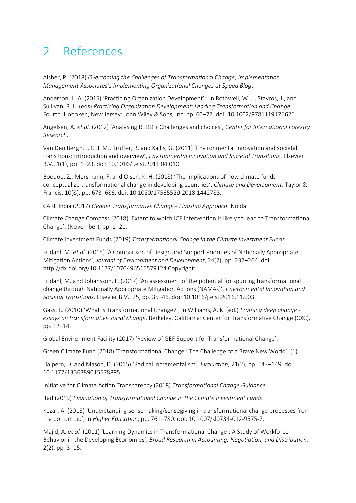# <span id="page-14-0"></span>2 References

Alsher, P. (2018) *Overcoming the Challenges of Transformational Change*, *Implementation Management Associates's Implementing Organizational Changes at Speed Blog*.

Anderson, L. A. (2015) 'Practicing Organization Development':, in Rothwell, W. J., Stavros, J., and Sullivan, R. L. (eds) *Practicing Organization Development: Leading Transformation and Change*. Fourth. Hoboken, New Jersey: John Wiley & Sons, Inc, pp. 60–77. doi: 10.1002/9781119176626.

Angelsen, A. *et al.* (2012) 'Analysing REDD + Challenges and choices', *Center for International Forestry Research*.

Van Den Bergh, J. C. J. M., Truffer, B. and Kallis, G. (2011) 'Environmental innovation and societal transitions: Introduction and overview', *Environmental Innovation and Societal Transitions*. Elsevier B.V., 1(1), pp. 1–23. doi: 10.1016/j.eist.2011.04.010.

Boodoo, Z., Mersmann, F. and Olsen, K. H. (2018) 'The implications of how climate funds conceptualize transformational change in developing countries', *Climate and Development*. Taylor & Francis, 10(8), pp. 673–686. doi: 10.1080/17565529.2018.1442788.

CARE India (2017) *Gender Transformative Change - Flagship Approach*. Noida.

Climate Change Compass (2018) 'Extent to which ICF intervention is likely to lead to Transformational Change', (November), pp. 1–21.

Climate Investment Funds (2019) *Transformational Change in the Climate Investment Funds*.

Fridahl, M. *et al.* (2015) 'A Comparison of Design and Support Priorities of Nationally Appropriate Mitigation Actions', *Journal of Environment and Development*, 24(2), pp. 237–264. doi: http://dx.doi.org/10.1177/1070496515579124 Copyright:

Fridahl, M. and Johansson, L. (2017) 'An assessment of the potential for spurring transformational change through Nationally Appropriate Mitigation Actions (NAMAs)', *Environmental Innovation and Societal Transitions*. Elsevier B.V., 25, pp. 35–46. doi: 10.1016/j.eist.2016.11.003.

Gass, R. (2010) 'What is Transformational Change?', in Williams, A. K. (ed.) *Framing deep change essays on transformative social change*. Berkeley, California: Center for Transformative Change (CXC), pp. 12–14.

Global Environment Facility (2017) 'Review of GEF Support for Transformational Change'.

Green Climate Fund (2018) 'Transformational Change : The Challenge of a Brave New World', (1).

Halpern, D. and Mason, D. (2015) 'Radical Incrementalism', *Evaluation*, 21(2), pp. 143–149. doi: 10.1177/1356389015578895.

Initiative for Climate Action Transparency (2018) *Transformational Change Guidance*.

Itad (2019) *Evaluation of Transformational Change in the Climate Investment Funds*.

Kezar, A. (2013) 'Understanding sensemaking/sensegiving in transformational change processes from the bottom up', in *Higher Education*, pp. 761–780. doi: 10.1007/sl0734-012-9575-7.

Majid, A. *et al.* (2011) 'Learning Dynamics in Transformational Change : A Study of Workforce Behavior in the Developing Economies', *Broad Research in Accounting, Negotiation, and Distribution*, 2(2), pp. 8–15.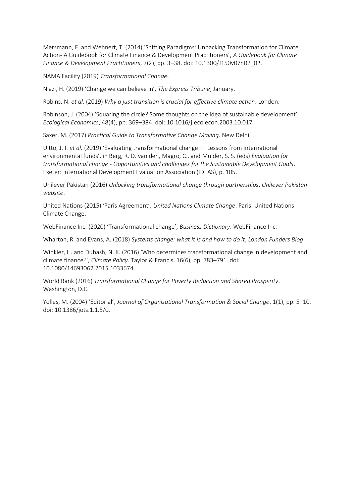Mersmann, F. and Wehnert, T. (2014) 'Shifting Paradigms: Unpacking Transformation for Climate Action- A Guidebook for Climate Finance & Development Practitioners', *A Guidebook for Climate Finance & Development Practitioners*, 7(2), pp. 3–38. doi: 10.1300/J150v07n02\_02.

NAMA Facility (2019) *Transformational Change*.

Niazi, H. (2019) 'Change we can believe in', *The Express Tribune*, January.

Robins, N. *et al.* (2019) *Why a just transition is crucial for effective climate action*. London.

Robinson, J. (2004) 'Squaring the circle? Some thoughts on the idea of sustainable development', *Ecological Economics*, 48(4), pp. 369–384. doi: 10.1016/j.ecolecon.2003.10.017.

Saxer, M. (2017) *Practical Guide to Transformative Change Making*. New Delhi.

Uitto, J. I. *et al.* (2019) 'Evaluating transformational change — Lessons from international environmental funds', in Berg, R. D. van den, Magro, C., and Mulder, S. S. (eds) *Evaluation for transformational change - Opportunities and challenges for the Sustainable Development Goals*. Exeter: International Development Evaluation Association (IDEAS), p. 105.

Unilever Pakistan (2016) *Unlocking transformational change through partnerships*, *Unilever Pakistan website*.

United Nations (2015) 'Paris Agreement', *United Nations Climate Change*. Paris: United Nations Climate Change.

WebFinance Inc. (2020) 'Transformational change', *Business Dictionary*. WebFinance Inc.

Wharton, R. and Evans, A. (2018) *Systems change: what it is and how to do it*, *London Funders Blog*.

Winkler, H. and Dubash, N. K. (2016) 'Who determines transformational change in development and climate finance?', *Climate Policy*. Taylor & Francis, 16(6), pp. 783–791. doi: 10.1080/14693062.2015.1033674.

World Bank (2016) *Transformational Change for Poverty Reduction and Shared Prosperity*. Washington, D.C.

Yolles, M. (2004) 'Editorial', *Journal of Organisational Transformation & Social Change*, 1(1), pp. 5–10. doi: 10.1386/jots.1.1.5/0.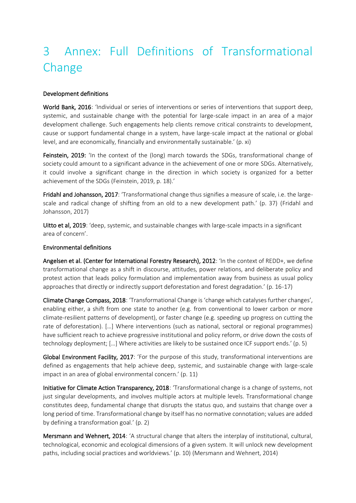# <span id="page-16-0"></span>3 Annex: Full Definitions of Transformational Change

#### Development definitions

World Bank, 2016: 'Individual or series of interventions or series of interventions that support deep, systemic, and sustainable change with the potential for large-scale impact in an area of a major development challenge. Such engagements help clients remove critical constraints to development, cause or support fundamental change in a system, have large-scale impact at the national or global level, and are economically, financially and environmentally sustainable.' (p. xi)

Feinstein, 2019: 'In the context of the (long) march towards the SDGs, transformational change of society could amount to a significant advance in the achievement of one or more SDGs. Alternatively, it could involve a significant change in the direction in which society is organized for a better achievement of the SDGs (Feinstein, 2019, p. 18).'

Fridahl and Johansson, 2017: 'Transformational change thus signifies a measure of scale, i.e. the largescale and radical change of shifting from an old to a new development path.' (p. 37) (Fridahl and Johansson, 2017)

Uitto et al, 2019: 'deep, systemic, and sustainable changes with large-scale impacts in a significant area of concern'.

#### Environmental definitions

Angelsen et al. (Center for International Forestry Research), 2012: 'In the context of REDD+, we define transformational change as a shift in discourse, attitudes, power relations, and deliberate policy and protest action that leads policy formulation and implementation away from business as usual policy approaches that directly or indirectly support deforestation and forest degradation.' (p. 16-17)

Climate Change Compass, 2018: 'Transformational Change is 'change which catalyses further changes', enabling either, a shift from one state to another (e.g. from conventional to lower carbon or more climate-resilient patterns of development), or faster change (e.g. speeding up progress on cutting the rate of deforestation). […] Where interventions (such as national, sectoral or regional programmes) have sufficient reach to achieve progressive institutional and policy reform, or drive down the costs of technology deployment; […] Where activities are likely to be sustained once ICF support ends.' (p. 5)

Global Environment Facility, 2017: 'For the purpose of this study, transformational interventions are defined as engagements that help achieve deep, systemic, and sustainable change with large-scale impact in an area of global environmental concern.' (p. 11)

Initiative for Climate Action Transparency, 2018: 'Transformational change is a change of systems, not just singular developments, and involves multiple actors at multiple levels. Transformational change constitutes deep, fundamental change that disrupts the status quo, and sustains that change over a long period of time. Transformational change by itself has no normative connotation; values are added by defining a transformation goal.' (p. 2)

Mersmann and Wehnert, 2014: 'A structural change that alters the interplay of institutional, cultural, technological, economic and ecological dimensions of a given system. It will unlock new development paths, including social practices and worldviews.' (p. 10) (Mersmann and Wehnert, 2014)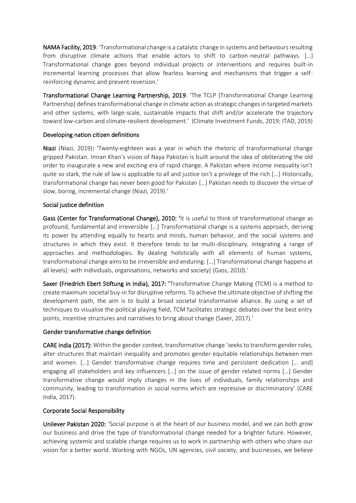NAMA Facility, 2019: 'Transformational change is a catalytic change in systems and behaviours resulting from disruptive climate actions that enable actors to shift to carbon-neutral pathways. [...] Transformational change goes beyond individual projects or interventions and requires built-in incremental learning processes that allow fearless learning and mechanisms that trigger a selfreinforcing dynamic and prevent reversion.'

Transformational Change Learning Partnership, 2019: 'The TCLP [Transformational Change Learning Partnership] defines transformational change in climate action as strategic changes in targeted markets and other systems, with large-scale, sustainable impacts that shift and/or accelerate the trajectory toward low-carbon and climate-resilient development.' (Climate Investment Funds, 2019; ITAD, 2019)

#### Developing nation citizen definitions

Niazi (Niazi, 2019): 'Twenty-eighteen was a year in which the rhetoric of transformational change gripped Pakistan. Imran Khan's vision of Naya Pakistan is built around the idea of obliterating the old order to inaugurate a new and exciting era of rapid change. A Pakistan where income inequality isn't quite so stark, the rule of law is applicable to all and justice isn't a privilege of the rich [...] Historically, transformational change has never been good for Pakistan […] Pakistan needs to discover the virtue of slow, boring, incremental change (Niazi, 2019).'

#### Social justice definition

Gass (Center for Transformational Change), 2010: 'It is useful to think of transformational change as profound, fundamental and irreversible [...] Transformational change is a systems approach, deriving its power by attending equally to hearts and minds, human behavior, and the social systems and structures in which they exist. It therefore tends to be multi-disciplinary, integrating a range of approaches and methodologies. By dealing holistically with all elements of human systems, transformational change aims to be irreversible and enduring. [...] Transformational change happens at all levels[: with individuals, organisations, networks and society] (Gass, 2010).'

Saxer (Friedrich Ebert Stiftung in India), 2017: 'Transformative Change Making (TCM) is a method to create maximum societal buy-in for disruptive reforms. To achieve the ultimate objective of shifting the development path, the aim is to build a broad societal transformative alliance. By using a set of techniques to visualise the political playing field, TCM facilitates strategic debates over the best entry points, incentive structures and narratives to bring about change (Saxer, 2017).'

#### Gender transformative change definition

CARE India (2017): Within the gender context, transformative change 'seeks to transform gender roles, alter structures that maintain inequality and promotes gender equitable relationships between men and women. […] Gender transformative change requires time and persistent dedication [… and] engaging all stakeholders and key influencers […] on the issue of gender related norms […] Gender transformative change would imply changes in the lives of individuals, family relationships and community, leading to transformation in social norms which are repressive or discriminatory' (CARE India, 2017).

#### Corporate Social Responsibility

Unilever Pakistan 2020: 'Social purpose is at the heart of our business model, and we can both grow our business and drive the type of transformational change needed for a brighter future. However, achieving systemic and scalable change requires us to work in partnership with others who share our vision for a better world. Working with NGOs, UN agencies, civil society, and businesses, we believe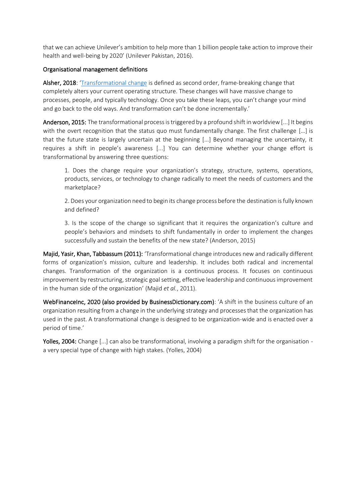that we can achieve Unilever's ambition to help more than 1 billion people take action to improve their health and well-being by 2020' (Unilever Pakistan, 2016).

#### Organisational management definitions

Alsher, 2018: '[Transformational change](https://www.imaworldwide.com/resources-transformational-change) is defined as second order, frame-breaking change that completely alters your current operating structure. These changes will have massive change to processes, people, and typically technology. Once you take these leaps, you can't change your mind and go back to the old ways. And transformation can't be done incrementally.'

Anderson, 2015: The transformational process is triggered by a profound shift in worldview [...] It begins with the overt recognition that the status quo must fundamentally change. The first challenge [...] is that the future state is largely uncertain at the beginning [...] Beyond managing the uncertainty, it requires a shift in people's awareness [...] You can determine whether your change effort is transformational by answering three questions:

1. Does the change require your organization's strategy, structure, systems, operations, products, services, or technology to change radically to meet the needs of customers and the marketplace?

2. Does your organization need to begin its change process before the destination is fully known and defined?

3. Is the scope of the change so significant that it requires the organization's culture and people's behaviors and mindsets to shift fundamentally in order to implement the changes successfully and sustain the benefits of the new state? (Anderson, 2015)

Majid, Yasir, Khan, Tabbassum (2011): 'Transformational change introduces new and radically different forms of organization's mission, culture and leadership. It includes both radical and incremental changes. Transformation of the organization is a continuous process. It focuses on continuous improvement by restructuring, strategic goal setting, effective leadership and continuous improvement in the human side of the organization' (Majid *et al.*, 2011).

WebFinanceInc, 2020 (also provided by BusinessDictionary.com): 'A shift in the business culture of an organization resulting from a change in the underlying strategy and processes that the organization has used in the past. A transformational change is designed to be organization-wide and is enacted over a period of time.'

Yolles, 2004: Change [...] can also be transformational, involving a paradigm shift for the organisation a very special type of change with high stakes. (Yolles, 2004)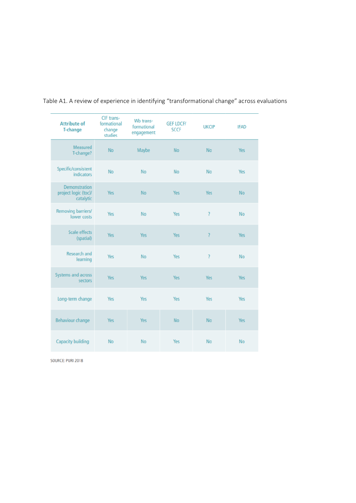| <b>Attribute of</b><br><b>T-change</b>                    | CIF trans-<br>formational<br>change<br>studies | Wb trans-<br>formational<br>engagement | <b>GEF LDCF/</b><br><b>SCCF</b> | <b>UKCIP</b>             | <b>IFAD</b> |
|-----------------------------------------------------------|------------------------------------------------|----------------------------------------|---------------------------------|--------------------------|-------------|
| Measured<br>T-change?                                     | <b>No</b>                                      | Maybe                                  | <b>No</b>                       | <b>No</b>                | Yes         |
| Specific/consistent<br><b>indicators</b>                  | <b>No</b>                                      | <b>No</b>                              | No                              | <b>No</b>                | Yes         |
| <b>Demonstration</b><br>project logic (toc)/<br>catalytic | <b>Yes</b>                                     | <b>No</b>                              | Yes                             | Yes                      | <b>No</b>   |
| Removing barriers/<br>lower costs                         | Yes                                            | <b>No</b>                              | Yes                             | 2                        | <b>No</b>   |
| <b>Scale effects</b><br>(spatial)                         | <b>Yes</b>                                     | Yes                                    | Yes                             | $\overline{\mathcal{L}}$ | Yes         |
| <b>Research and</b><br>learning                           | <b>Yes</b>                                     | <b>No</b>                              | Yes                             | 2                        | <b>No</b>   |
| Systems and across<br>sectors                             | <b>Yes</b>                                     | Yes                                    | <b>Yes</b>                      | Yes                      | Yes         |
| Long-term change                                          | Yes                                            | Yes                                    | Yes                             | Yes                      | Yes         |
| <b>Behaviour change</b>                                   | <b>Yes</b>                                     | Yes                                    | <b>No</b>                       | <b>No</b>                | Yes         |
| <b>Capacity building</b>                                  | <b>No</b>                                      | <b>No</b>                              | Yes                             | <b>No</b>                | <b>No</b>   |

## Table A1. A review of experience in identifying "transformational change" across evaluations

SOURCE: PURI 2018